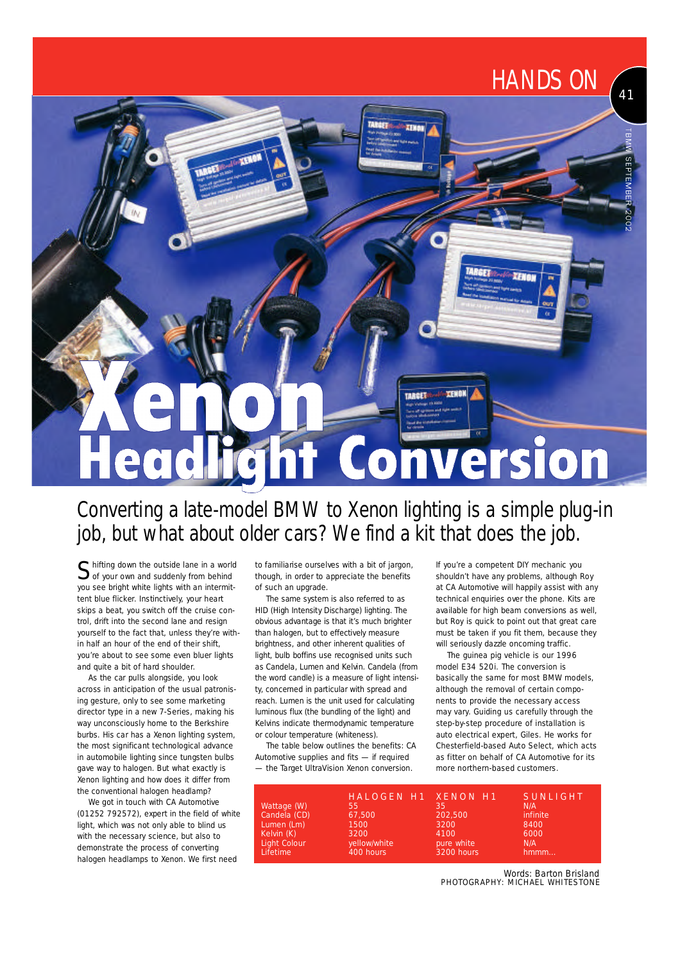# TARGET dlight Conversion e

### Converting a late-model BMW to Xenon lighting is a simple plug-in job, but what about older cars? We find a kit that does the job.

Shifting down the outside lane in a world<br>Sof your own and suddenly from behind of your own and suddenly from behind you see bright white lights with an intermittent blue flicker. Instinctively, your heart skips a beat, you switch off the cruise control, drift into the second lane and resign yourself to the fact that, unless they're within half an hour of the end of their shift, you're about to see some even bluer lights and quite a bit of hard shoulder.

As the car pulls alongside, you look across in anticipation of the usual patronising gesture, only to see some marketing director type in a new 7-Series, making his way unconsciously home to the Berkshire burbs. His car has a Xenon lighting system, the most significant technological advance in automobile lighting since tungsten bulbs gave way to halogen. But what exactly is Xenon lighting and how does it differ from the conventional halogen headlamp?

We got in touch with CA Automotive (01252 792572), expert in the field of white light, which was not only able to blind us with the necessary science, but also to demonstrate the process of converting halogen headlamps to Xenon. We first need

to familiarise ourselves with a bit of jargon, though, in order to appreciate the benefits of such an upgrade.

The same system is also referred to as HID (High Intensity Discharge) lighting. The obvious advantage is that it's much brighter than halogen, but to effectively measure brightness, and other inherent qualities of light, bulb boffins use recognised units such as Candela, Lumen and Kelvin. Candela (from the word candle) is a measure of light intensity, concerned in particular with spread and reach. Lumen is the unit used for calculating luminous flux (the bundling of the light) and Kelvins indicate thermodynamic temperature or colour temperature (whiteness).

The table below outlines the benefits: CA Automotive supplies and fits — if required — the Target UltraVision Xenon conversion.

If you're a competent DIY mechanic you shouldn't have any problems, although Roy at CA Automotive will happily assist with any technical enquiries over the phone. Kits are available for high beam conversions as well but Roy is quick to point out that great care must be taken if you fit them, because they will seriously dazzle oncoming traffic.

41

*HANDS ON*

The guinea pig vehicle is our 1996 model E34 520i. The conversion is basically the same for most BMW models, although the removal of certain components to provide the necessary access may vary. Guiding us carefully through the step-by-step procedure of installation is auto electrical expert, Giles. He works for Chesterfield-based Auto Select, which acts as fitter on behalf of CA Automotive for its more northern-based customers.

|              |                   | <b>SUNLIGHT</b>     |
|--------------|-------------------|---------------------|
| 55           | 35                | N/A                 |
| 67.500       | 202.500           | <i>infinite</i>     |
| 1500         | 3200              | 8400                |
| 3200         | 4100              | 6000                |
| yellow/white | pure white        | N/A                 |
| 400 hours    | <b>3200 hours</b> | hmmm                |
|              |                   | HALOGEN H1 XENON H1 |

Words: Barton Brisland<br>P HOTOGRAPHY: MICHAEL WHITESTONE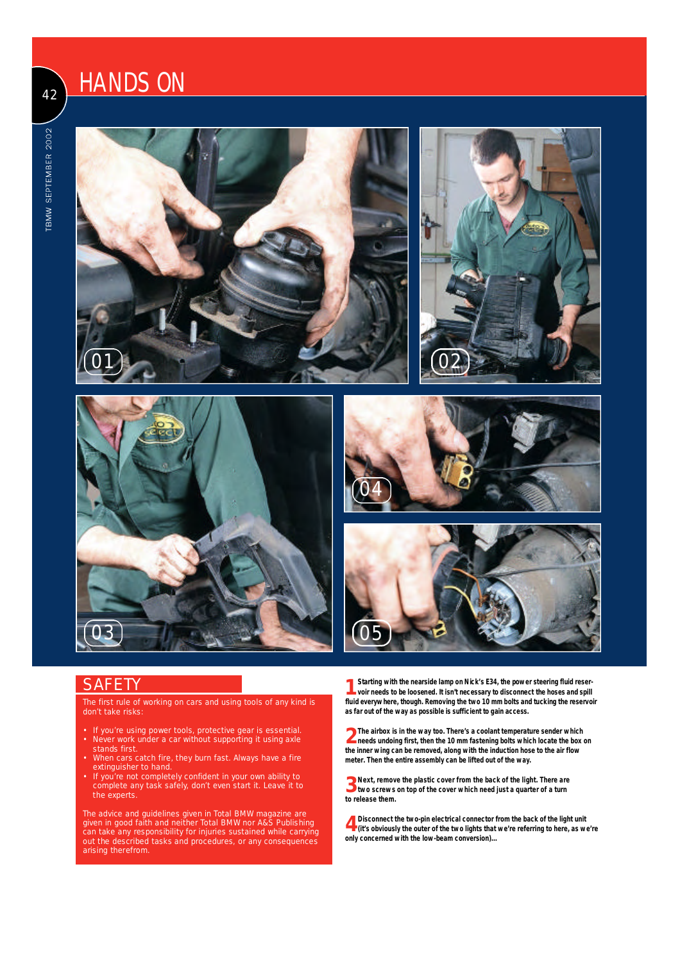## 42 HANDS ON











#### **SAFETY**

The first rule of working on cars and using tools of any kind is don't take risks:

- If you're using power tools, protective gear is essential. • Never work under a car without supporting it using axle stands first.
- When cars catch fire, they burn fast. Always have a fire extinguisher to hand.
- If you're not completely confident in your own ability to complete any task safely, don't even start it. Leave it to the experts.

The advice and guidelines given in *Total BMW* magazine are given in good faith and neither *Total BMW* nor A&S Publishing can take any responsibility for injuries sustained while carrying out the described tasks and procedures, or any consequences arising therefrom.

**1** Starting with the nearside lamp on Nick's E34, the power steering fluid reservoir needs to be loosened. It isn't necessary to disconnect the hoses and spill **Starting with the nearside lamp on Nick's E34, the power steering fluid reserfluid everywhere, though. Removing the two 10 mm bolts and tucking the reservoir as far out of the way as possible is sufficient to gain access.** 

**2 The airbox is in the way too. There's a coolant temperature sender which needs undoing first, then the 10 mm fastening bolts which locate the box on the inner wing can be removed, along with the induction hose to the air flow meter. Then the entire assembly can be lifted out of the way.**

**3** Next, remove the plastic cover from the back of the light. There are **3** two screws on top of the cover which need just a quarter of a turn **two screws on top of the cover which need just a quarter of a turn to release them.** 

**4** Disconnect the two-pin electrical connector from the back of the light unit (it's obviously the outer of the two lights that we're referring to here, as we're **Disconnect the two-pin electrical connector from the back of the light unit only concerned with the low-beam conversion)...**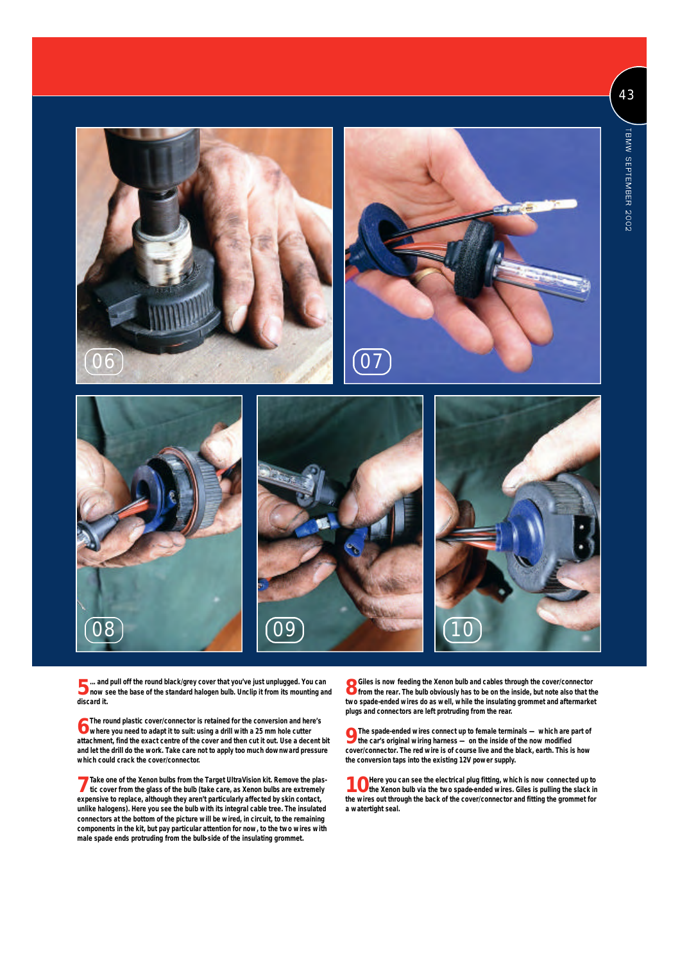









**5** ... and pull off the round black/grey cover that you've just unplugged. You can<br>**5** now see the base of the standard halogen bulb. Unclip it from its mounting and **... and pull off the round black/grey cover that you've just unplugged. You can discard it.**

**6** The round plastic cover/connector is retained for the conversion and here you need to adapt it to suit: using a drill with a 25 mm hole cutter **The round plastic cover/connector is retained for the conversion and here's attachment, find the exact centre of the cover and then cut it out. Use a decent bit and let the drill do the work. Take care not to apply too much downward pressure which could crack the cover/connector.**

**7** Take one of the Xenon bulbs from the Target UltraVision kit. Remove the plas-<br>tic cover from the glass of the bulb (take care, as Xenon bulbs are extremely **tic cover from the glass of the bulb (take care, as Xenon bulbs are extremely** expensive to replace, although they aren't particularly affected by skin contact, **unlike halogens). Here you see the bulb with its integral cable tree. The insulated connectors at the bottom of the picture will be wired, in circuit, to the remaining components in the kit, but pay particular attention for now, to the two wires with male spade ends protruding from the bulb-side of the insulating grommet.**

**8** Giles is now feeding the Xenon bulb and cables through the cover/connector<br>**8** from the rear. The bulb obviously has to be on the inside, but note also that the **from the rear. The bulb obviously has to be on the inside, but note also that the two spade-ended wires do as well, while the insulating grommet and aftermarket plugs and connectors are left protruding from the rear.**

**9** The spade-ended wires connect up to female terminals — which are part of the car's original wiring harness — on the inside of the now modified **the car's original wiring harness — on the inside of the now modified cover/connector. The red wire is of course live and the black, earth. This is how the conversion taps into the existing 12V power supply.**

**10** Here you can see the electrical plug fitting, which is now connected up to the Xenon bulb via the two spade-ended wires. Giles is pulling the slack in **the wires out through the back of the cover/connector and fitting the grommet for a watertight seal.**

43